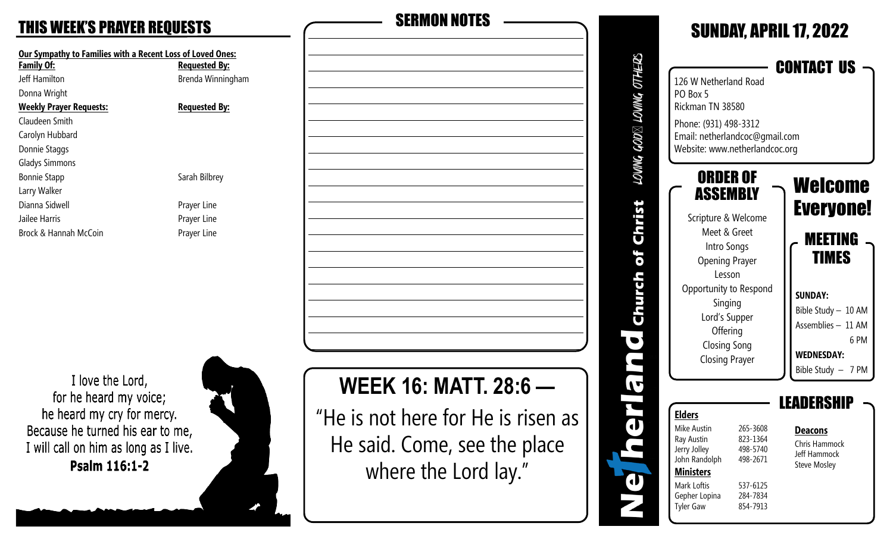#### **THIS WEEK'S PRAYER REQUESTS**

| Our Sympathy to Families with a Recent Loss of Loved Ones:<br><b>Family Of:</b> | <b>Requested By:</b> |  |  |
|---------------------------------------------------------------------------------|----------------------|--|--|
| Jeff Hamilton                                                                   | Brenda Winningham    |  |  |
| Donna Wright                                                                    |                      |  |  |
| <b>Weekly Prayer Requests:</b>                                                  | <b>Requested By:</b> |  |  |
| Claudeen Smith                                                                  |                      |  |  |
| Carolyn Hubbard                                                                 |                      |  |  |
| Donnie Staggs                                                                   |                      |  |  |
| <b>Gladys Simmons</b>                                                           |                      |  |  |
| <b>Bonnie Stapp</b>                                                             | Sarah Bilbrey        |  |  |
| Larry Walker                                                                    |                      |  |  |
| Dianna Sidwell                                                                  | Prayer Line          |  |  |
| Jailee Harris                                                                   | Prayer Line          |  |  |
| Brock & Hannah McCoin                                                           | Prayer Line          |  |  |

I love the Lord, for he heard my voice; he heard my cry for mercy. Because he turned his ear to me, I will call on him as long as I live. Psalm 116:1-2



| <b>SERMON NOTES</b>                |  |
|------------------------------------|--|
|                                    |  |
|                                    |  |
|                                    |  |
|                                    |  |
|                                    |  |
|                                    |  |
|                                    |  |
|                                    |  |
|                                    |  |
|                                    |  |
|                                    |  |
|                                    |  |
|                                    |  |
| <b>WEEK 16: MATT, 28:6 -</b>       |  |
| "He is not here for He is risen as |  |
|                                    |  |
| He said. Come, see the place       |  |

where the Lord lay."

SUNDAY, APRIL 17, 2022 LOVING GOD⊠ LOVING OTHERS CONTACT US 126 W Netherland Road PO Box 5 Rickman TN 38580 Phone: (931) 498-3312 Email: netherlandcoc@gmail.com Website: www.netherlandcoc.org ORDER OF Welcome ASSEMBLY Christ Everyone! Scripture & Welcome Meet & Greet MEETING Intro Songs Church of TIMES Opening Prayer Lesson Opportunity to Respond **SUNDAY:** Singing Bible Study – 10 AM Lord's Supper Assemblies – 11 AM **Offering**  $\overline{\mathbf{Q}}$  6 PM Closing Song h **WEDNESDAY:** Closing Prayer Bible Study – 7 PM  $\blacktriangledown$ i<br>Te **LEADERSHIP Elders** Mike Austin 265-3608 **Deacons** Ray Austin 823-1364 Chris Hammock Jerry Jolley 498-5740 Jeff Hammock John Randolph 498-2671 Steve Mosley **Ministers** T Mark Loftis 537-6125 Gepher Lopina 284-7834 Tyler Gaw 854-7913